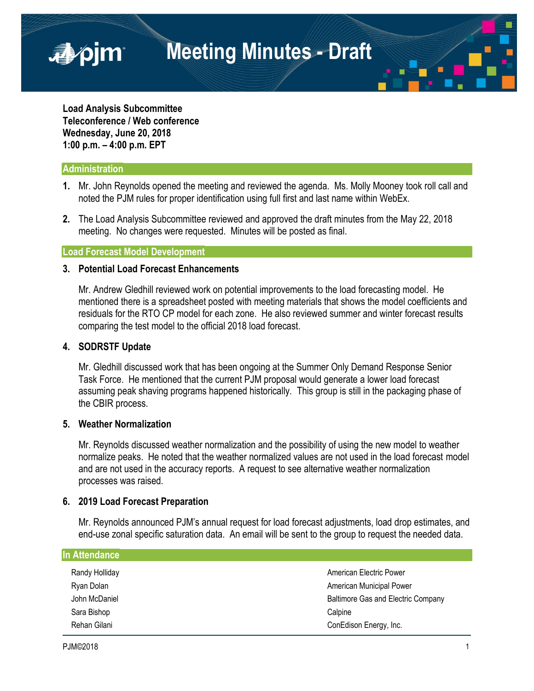**Meeting Minutes - Draft**

**Load Analysis Subcommittee Teleconference / Web conference Wednesday, June 20, 2018 1:00 p.m. – 4:00 p.m. EPT**

# **Administration**

■pjm

- **1.** Mr. John Reynolds opened the meeting and reviewed the agenda. Ms. Molly Mooney took roll call and noted the PJM rules for proper identification using full first and last name within WebEx.
- **2.** The Load Analysis Subcommittee reviewed and approved the draft minutes from the May 22, 2018 meeting. No changes were requested. Minutes will be posted as final.

# **Load Forecast Model Development**

# **3. Potential Load Forecast Enhancements**

Mr. Andrew Gledhill reviewed work on potential improvements to the load forecasting model. He mentioned there is a spreadsheet posted with meeting materials that shows the model coefficients and residuals for the RTO CP model for each zone. He also reviewed summer and winter forecast results comparing the test model to the official 2018 load forecast.

### **4. SODRSTF Update**

Mr. Gledhill discussed work that has been ongoing at the Summer Only Demand Response Senior Task Force. He mentioned that the current PJM proposal would generate a lower load forecast assuming peak shaving programs happened historically. This group is still in the packaging phase of the CBIR process.

### **5. Weather Normalization**

Mr. Reynolds discussed weather normalization and the possibility of using the new model to weather normalize peaks. He noted that the weather normalized values are not used in the load forecast model and are not used in the accuracy reports. A request to see alternative weather normalization processes was raised.

#### **6. 2019 Load Forecast Preparation**

Mr. Reynolds announced PJM's annual request for load forecast adjustments, load drop estimates, and end-use zonal specific saturation data. An email will be sent to the group to request the needed data.

| In Attendance  |                                    |
|----------------|------------------------------------|
| Randy Holliday | American Electric Power            |
| Ryan Dolan     | American Municipal Power           |
| John McDaniel  | Baltimore Gas and Electric Company |
| Sara Bishop    | Calpine                            |
| Rehan Gilani   | ConEdison Energy, Inc.             |
|                |                                    |